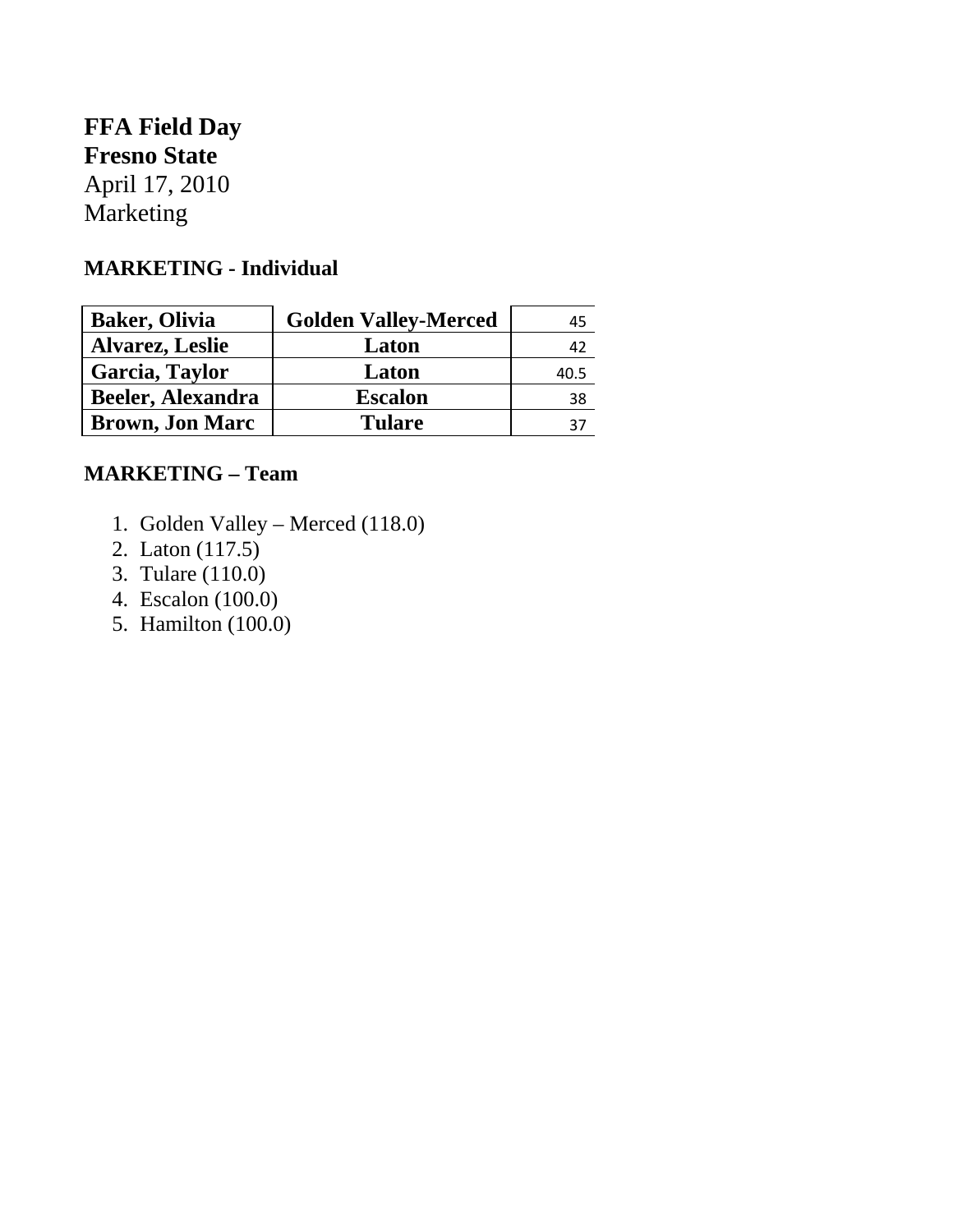## **FFA Field Day Fresno State**

April 17, 2010 Marketing

## **MARKETING - Individual**

| <b>Baker, Olivia</b>     | <b>Golden Valley-Merced</b> | 45   |
|--------------------------|-----------------------------|------|
| <b>Alvarez, Leslie</b>   | Laton                       | 42   |
| Garcia, Taylor           | Laton                       | 40.5 |
| <b>Beeler, Alexandra</b> | <b>Escalon</b>              | 38   |
| <b>Brown, Jon Marc</b>   | <b>Tulare</b>               | 37   |

## **MARKETING – Team**

- 1. Golden Valley Merced (118.0)
- 2. Laton (117.5)
- 3. Tulare (110.0)
- 4. Escalon (100.0)
- 5. Hamilton (100.0)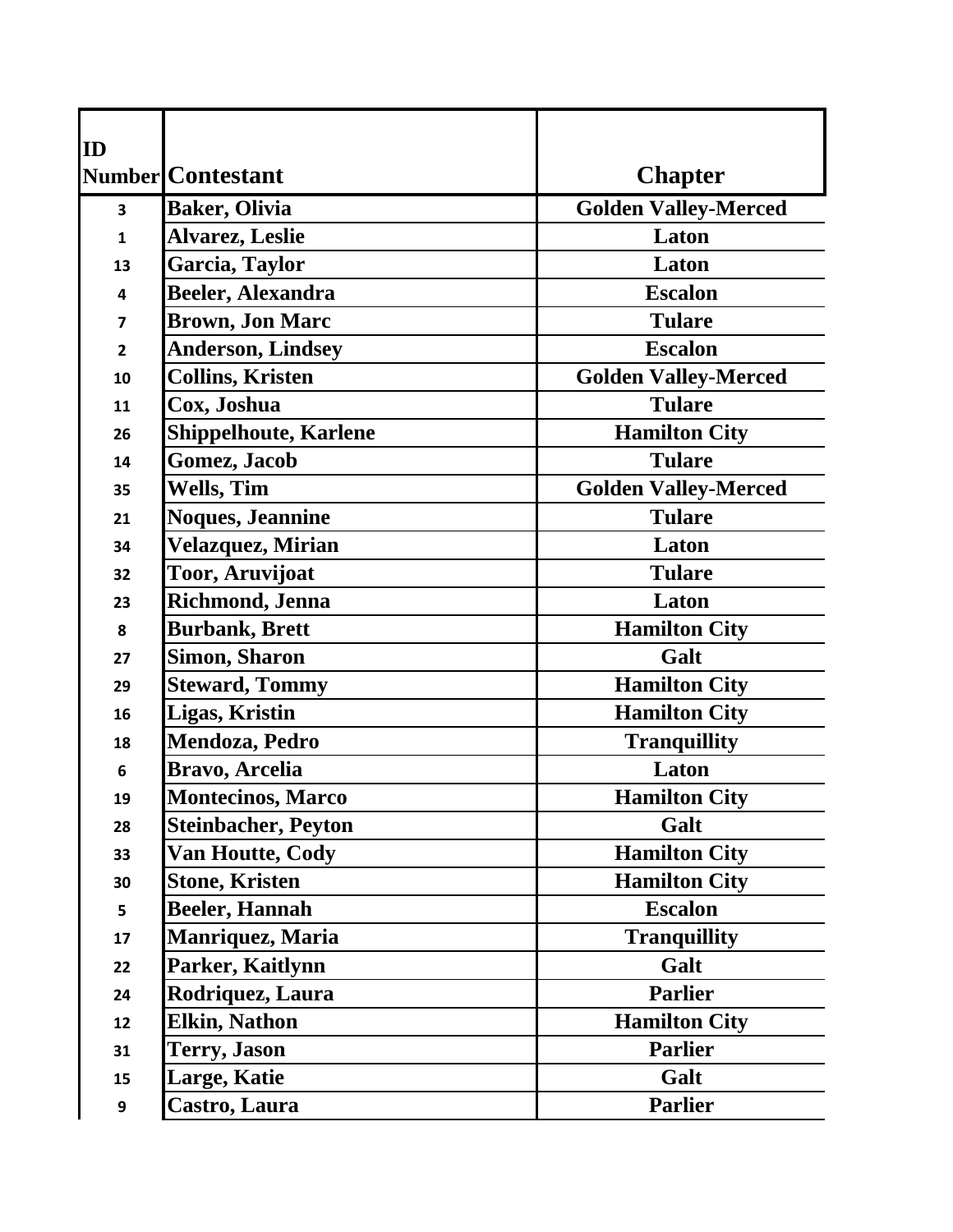| ID             |                              |                             |
|----------------|------------------------------|-----------------------------|
|                | Number Contestant            | <b>Chapter</b>              |
| 3              | <b>Baker, Olivia</b>         | <b>Golden Valley-Merced</b> |
| $\mathbf{1}$   | <b>Alvarez, Leslie</b>       | Laton                       |
| 13             | Garcia, Taylor               | Laton                       |
| 4              | <b>Beeler, Alexandra</b>     | <b>Escalon</b>              |
| $\overline{7}$ | <b>Brown, Jon Marc</b>       | <b>Tulare</b>               |
| $\overline{2}$ | <b>Anderson, Lindsey</b>     | <b>Escalon</b>              |
| 10             | <b>Collins, Kristen</b>      | <b>Golden Valley-Merced</b> |
| 11             | Cox, Joshua                  | <b>Tulare</b>               |
| 26             | <b>Shippelhoute, Karlene</b> | <b>Hamilton City</b>        |
| 14             | <b>Gomez</b> , Jacob         | <b>Tulare</b>               |
| 35             | <b>Wells, Tim</b>            | <b>Golden Valley-Merced</b> |
| 21             | <b>Noques, Jeannine</b>      | <b>Tulare</b>               |
| 34             | Velazquez, Mirian            | Laton                       |
| 32             | Toor, Aruvijoat              | <b>Tulare</b>               |
| 23             | Richmond, Jenna              | Laton                       |
| 8              | <b>Burbank, Brett</b>        | <b>Hamilton City</b>        |
| 27             | <b>Simon, Sharon</b>         | Galt                        |
| 29             | <b>Steward, Tommy</b>        | <b>Hamilton City</b>        |
| 16             | Ligas, Kristin               | <b>Hamilton City</b>        |
| 18             | Mendoza, Pedro               | <b>Tranquillity</b>         |
| 6              | Bravo, Arcelia               | Laton                       |
| 19             | <b>Montecinos, Marco</b>     | <b>Hamilton City</b>        |
| 28             | <b>Steinbacher, Peyton</b>   | Galt                        |
| 33             | <b>Van Houtte, Cody</b>      | <b>Hamilton City</b>        |
| 30             | <b>Stone, Kristen</b>        | <b>Hamilton City</b>        |
| 5              | Beeler, Hannah               | <b>Escalon</b>              |
| 17             | <b>Manriquez, Maria</b>      | <b>Tranquillity</b>         |
| 22             | Parker, Kaitlynn             | Galt                        |
| 24             | Rodriquez, Laura             | <b>Parlier</b>              |
| 12             | Elkin, Nathon                | <b>Hamilton City</b>        |
| 31             | <b>Terry, Jason</b>          | <b>Parlier</b>              |
| 15             | <b>Large, Katie</b>          | Galt                        |
| 9              | Castro, Laura                | <b>Parlier</b>              |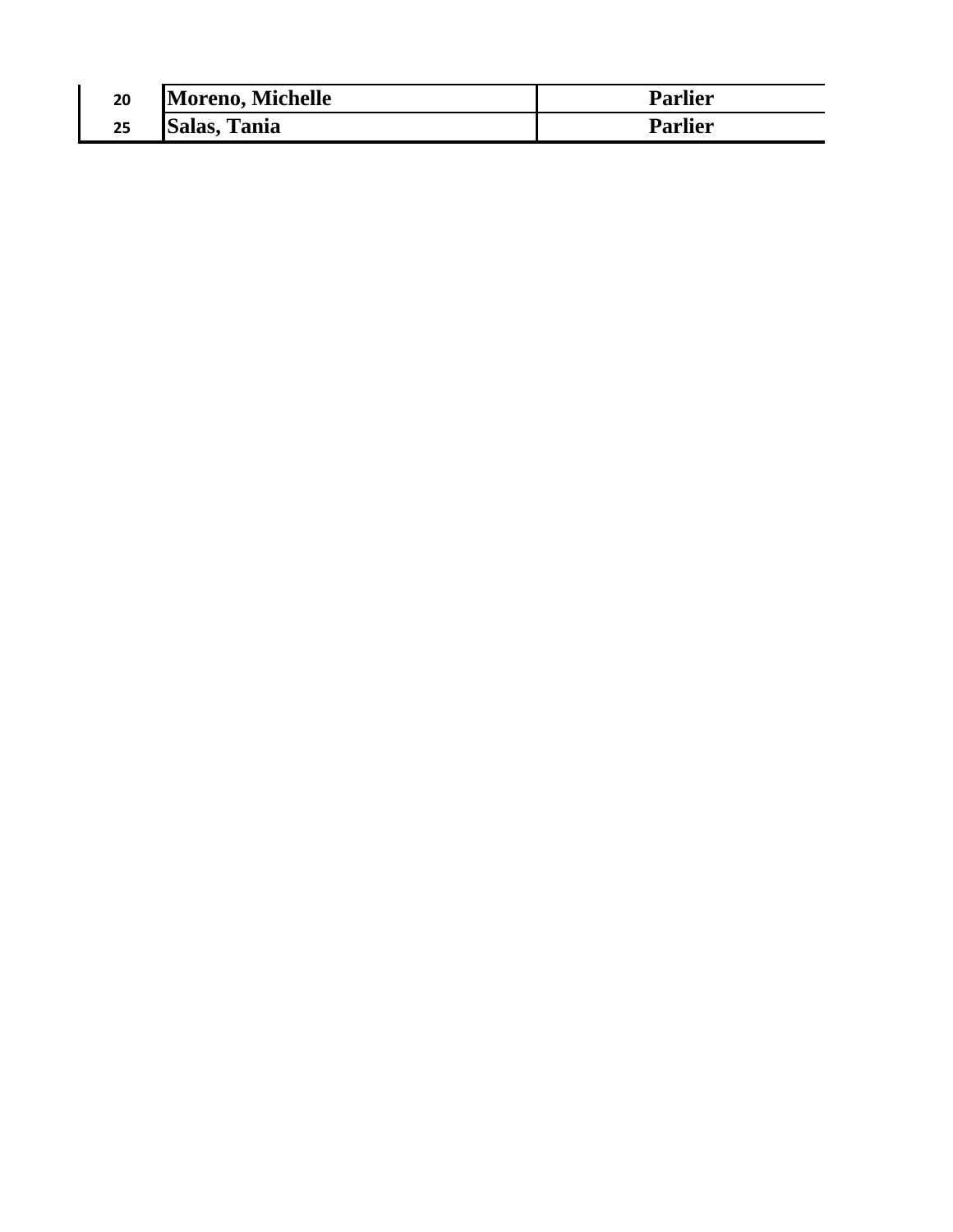| 20 | Moreno, Michelle    | Parlier        |
|----|---------------------|----------------|
| 25 | <b>Salas, Tania</b> | <b>Parlier</b> |

 $\mathsf I$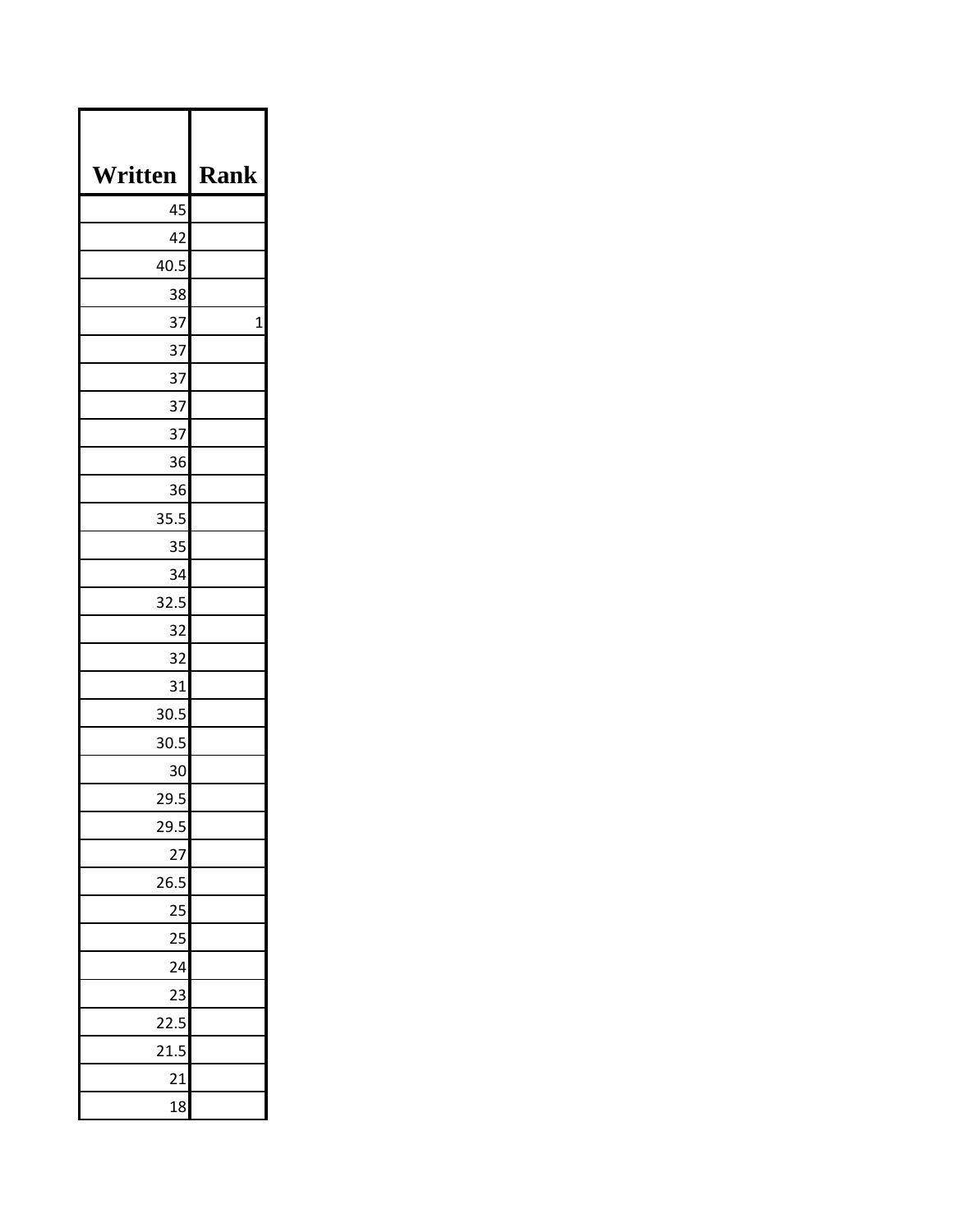| Written         | <b>Rank</b> |
|-----------------|-------------|
| 45              |             |
| 42              |             |
| 40.5            |             |
| 38              |             |
| 37              | 1           |
| 37              |             |
| 37              |             |
| 37              |             |
| 37              |             |
| 36              |             |
| 36              |             |
| 35.5            |             |
| 35              |             |
| 34              |             |
| 32.5            |             |
| 32              |             |
| 32              |             |
| 31              |             |
| 30.5            |             |
| 30.5            |             |
| 30              |             |
| 29.5            |             |
| 29.5            |             |
| $\frac{27}{1}$  |             |
| 26.5            |             |
| $\frac{25}{1}$  |             |
| $\overline{25}$ |             |
| 24              |             |
| 23              |             |
| 22.5            |             |
| 21.5            |             |
| 21              |             |
| 18              |             |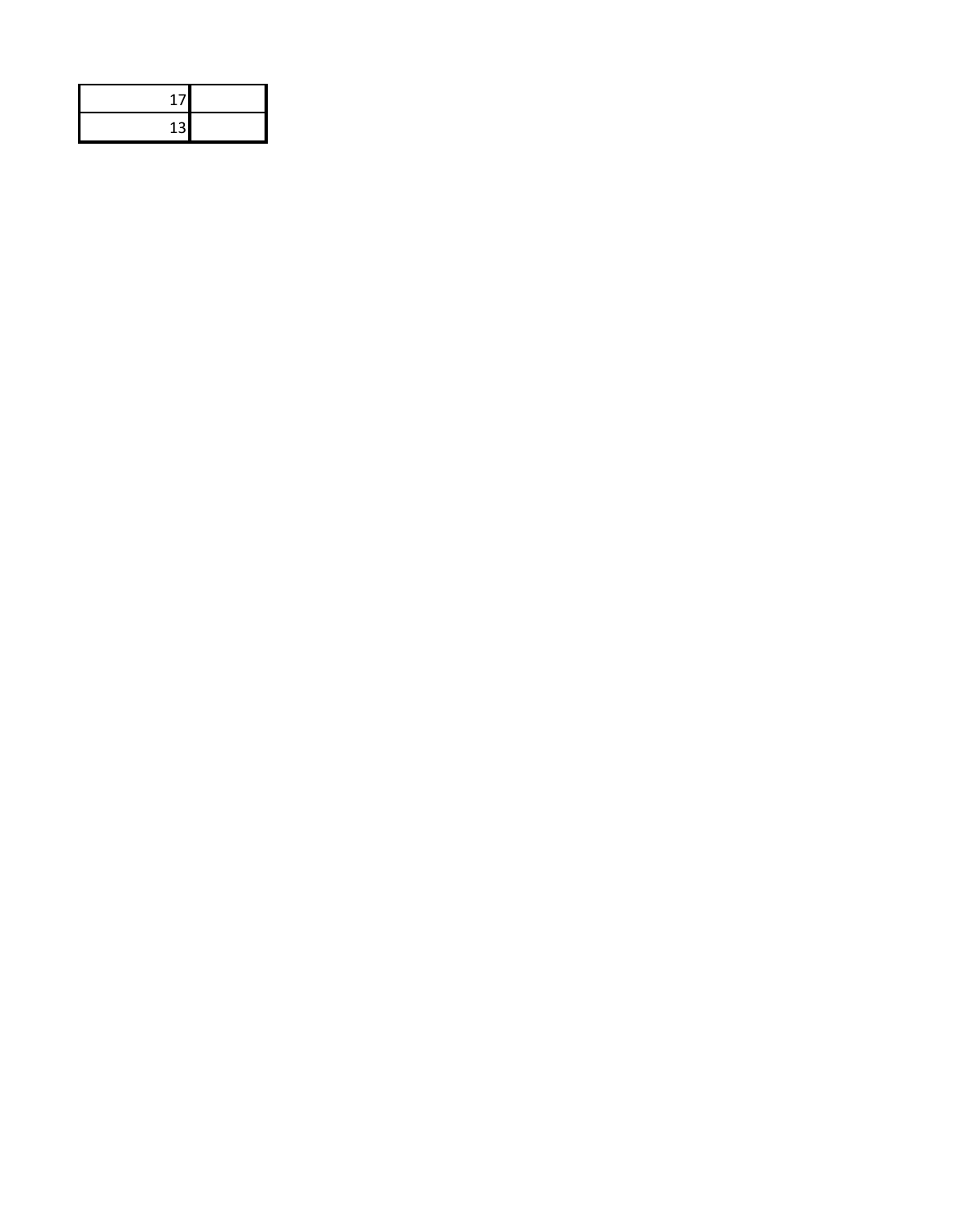| 11 |  |
|----|--|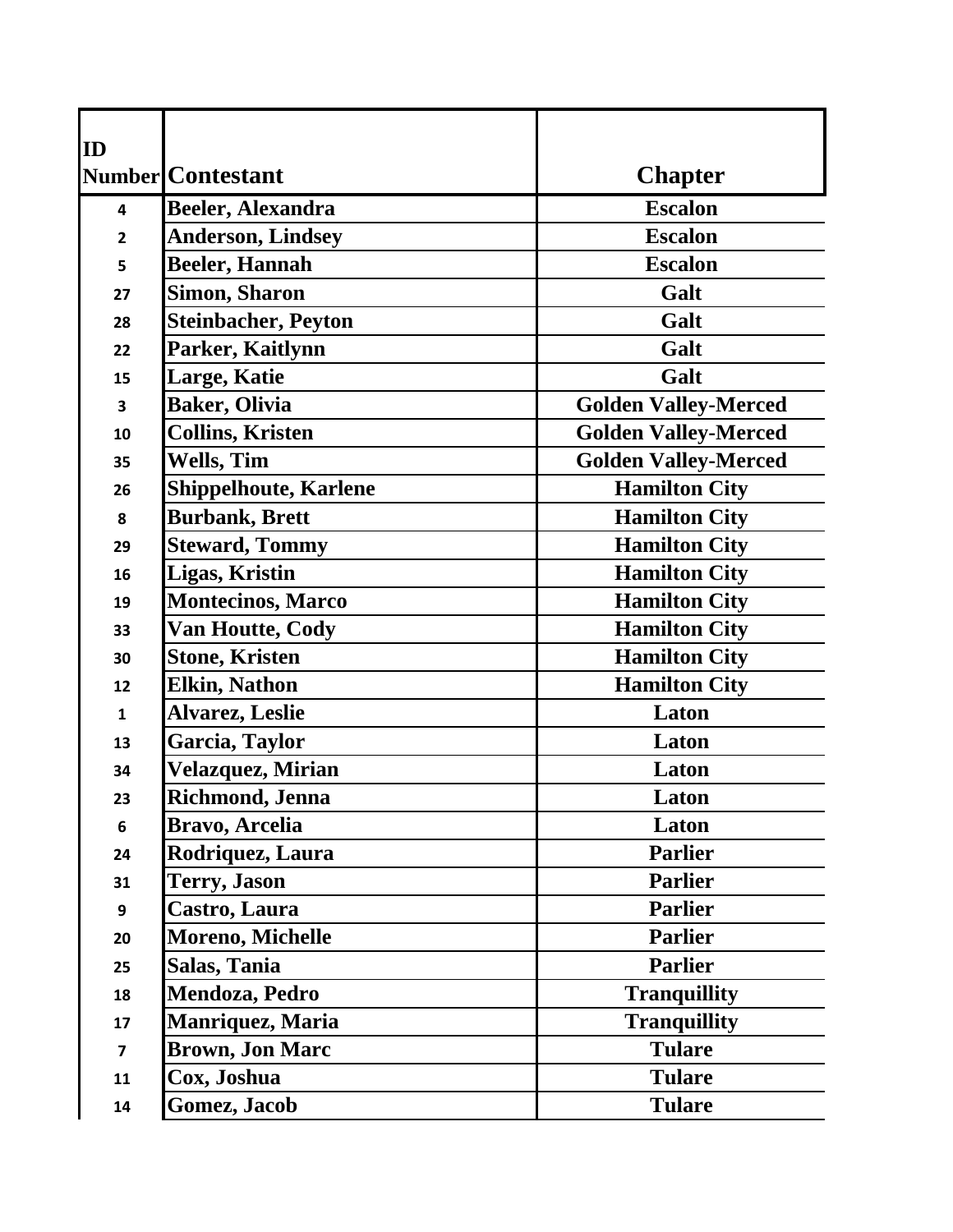| ID                      |                              |                             |
|-------------------------|------------------------------|-----------------------------|
|                         | <b>Number</b> Contestant     | <b>Chapter</b>              |
| 4                       | <b>Beeler, Alexandra</b>     | <b>Escalon</b>              |
| $\overline{2}$          | <b>Anderson, Lindsey</b>     | <b>Escalon</b>              |
| 5                       | <b>Beeler, Hannah</b>        | <b>Escalon</b>              |
| 27                      | <b>Simon, Sharon</b>         | Galt                        |
| 28                      | <b>Steinbacher, Peyton</b>   | Galt                        |
| 22                      | Parker, Kaitlynn             | Galt                        |
| 15                      | Large, Katie                 | Galt                        |
| 3                       | <b>Baker, Olivia</b>         | <b>Golden Valley-Merced</b> |
| 10                      | <b>Collins, Kristen</b>      | <b>Golden Valley-Merced</b> |
| 35                      | <b>Wells, Tim</b>            | <b>Golden Valley-Merced</b> |
| 26                      | <b>Shippelhoute, Karlene</b> | <b>Hamilton City</b>        |
| 8                       | <b>Burbank, Brett</b>        | <b>Hamilton City</b>        |
| 29                      | <b>Steward, Tommy</b>        | <b>Hamilton City</b>        |
| 16                      | <b>Ligas, Kristin</b>        | <b>Hamilton City</b>        |
| 19                      | <b>Montecinos, Marco</b>     | <b>Hamilton City</b>        |
| 33                      | <b>Van Houtte, Cody</b>      | <b>Hamilton City</b>        |
| 30                      | <b>Stone, Kristen</b>        | <b>Hamilton City</b>        |
| 12                      | <b>Elkin, Nathon</b>         | <b>Hamilton City</b>        |
| 1                       | <b>Alvarez, Leslie</b>       | Laton                       |
| 13                      | Garcia, Taylor               | Laton                       |
| 34                      | Velazquez, Mirian            | Laton                       |
| 23                      | Richmond, Jenna              | Laton                       |
| 6                       | Bravo, Arcelia               | Laton                       |
| 24                      | Rodriquez, Laura             | <b>Parlier</b>              |
| 31                      | <b>Terry, Jason</b>          | <b>Parlier</b>              |
| 9                       | Castro, Laura                | <b>Parlier</b>              |
| 20                      | <b>Moreno, Michelle</b>      | <b>Parlier</b>              |
| 25                      | Salas, Tania                 | <b>Parlier</b>              |
| 18                      | <b>Mendoza, Pedro</b>        | <b>Tranquillity</b>         |
| 17                      | <b>Manriquez, Maria</b>      | <b>Tranquillity</b>         |
| $\overline{\mathbf{z}}$ | <b>Brown, Jon Marc</b>       | <b>Tulare</b>               |
| 11                      | Cox, Joshua                  | <b>Tulare</b>               |
| 14                      | Gomez, Jacob                 | <b>Tulare</b>               |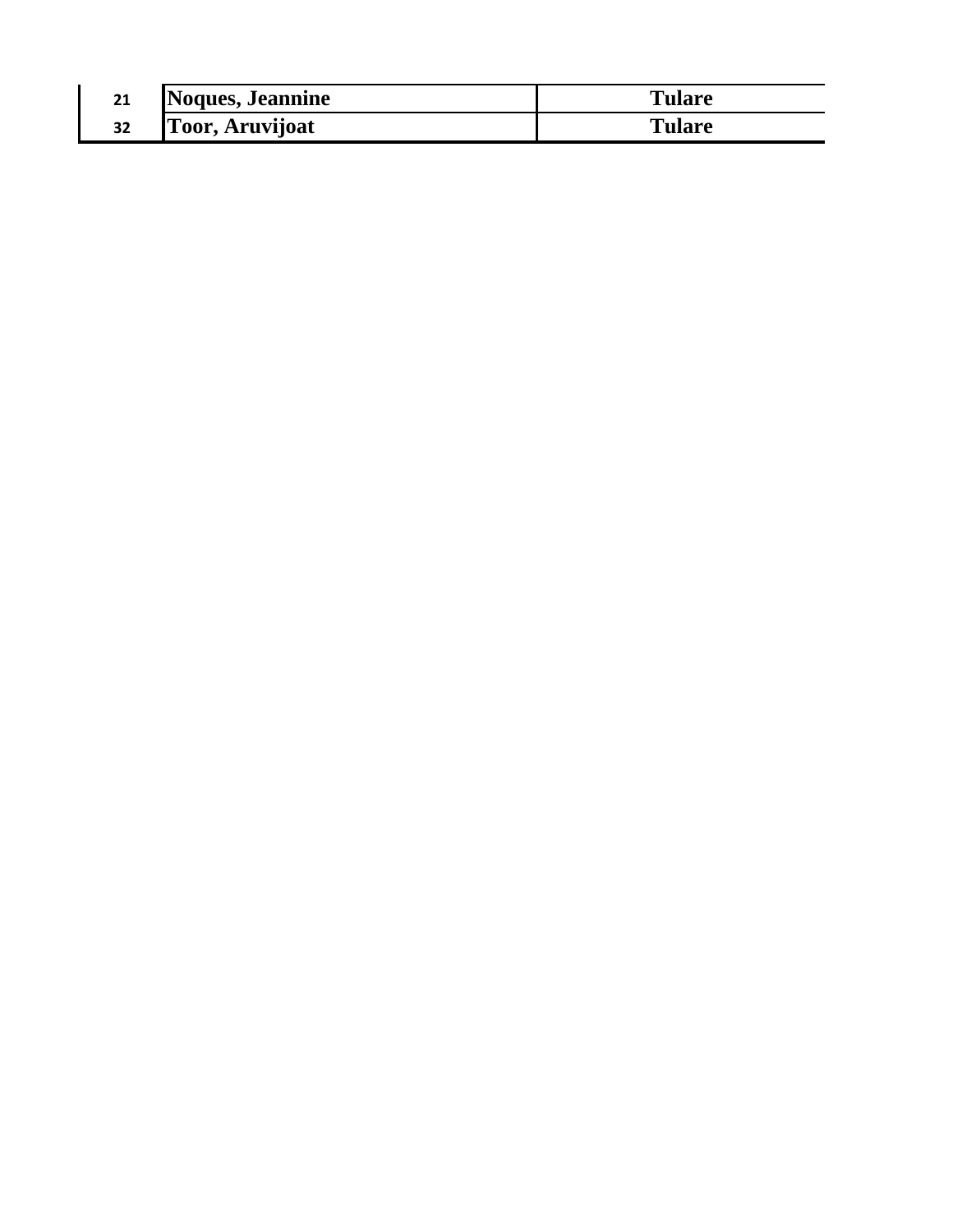| 21<br>ᄼ | Noques, Jeannine       | Tulare |
|---------|------------------------|--------|
| 32      | <b>Toor, Aruvijoat</b> | Tulare |

 $\mathsf I$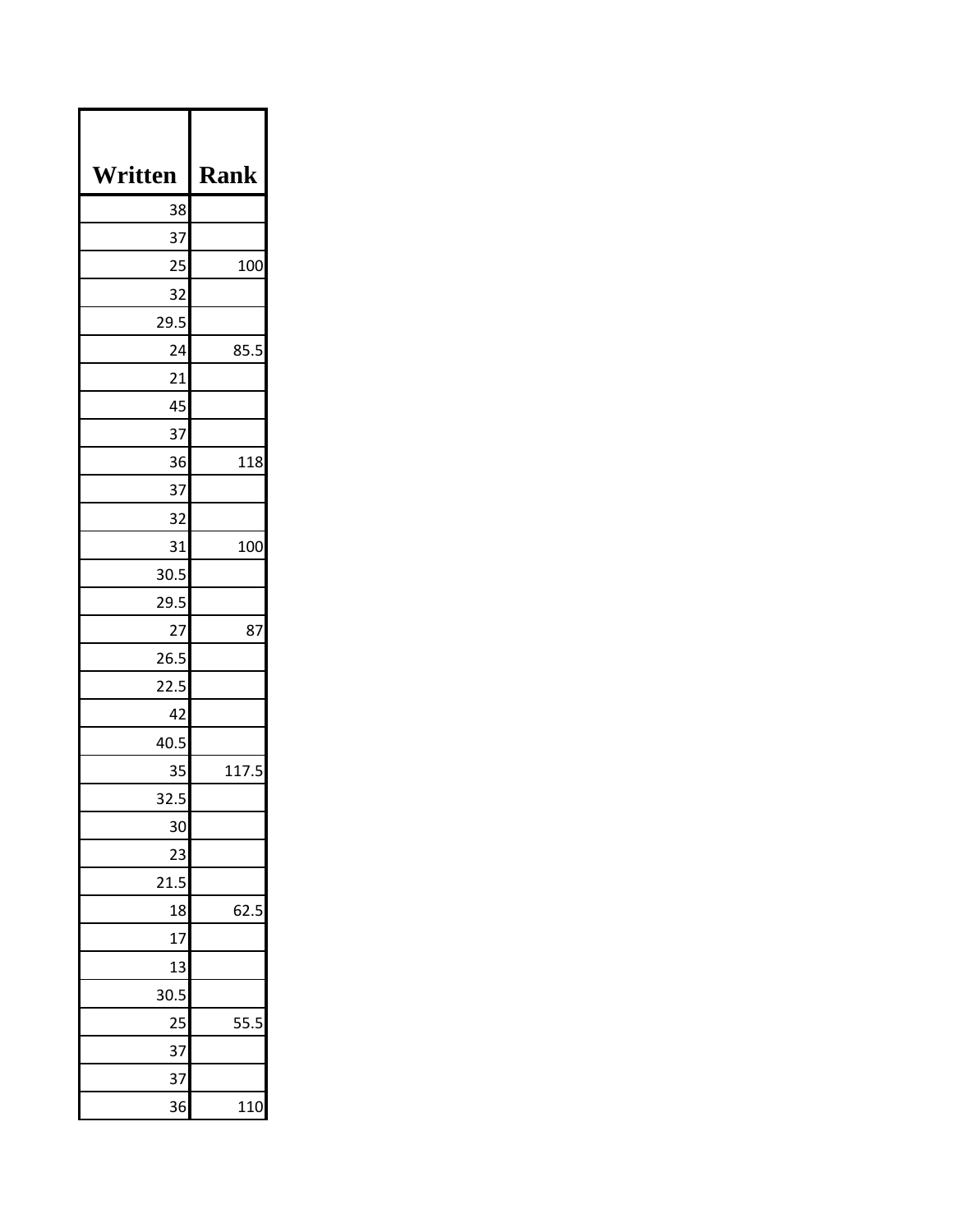| Written | <b>Rank</b> |
|---------|-------------|
| 38      |             |
| 37      |             |
| 25      | 100         |
| 32      |             |
| 29.5    |             |
| 24      | 85.5        |
| 21      |             |
| 45      |             |
| 37      |             |
| 36      | 118         |
| 37      |             |
| 32      |             |
| 31      | 100         |
| 30.5    |             |
| 29.5    |             |
| 27      | 87          |
| 26.5    |             |
| 22.5    |             |
| 42      |             |
| 40.5    |             |
| 35      | 117.5       |
| 32.5    |             |
| 30      |             |
| 23      |             |
| 21.5    |             |
| 18      | 62.5        |
| 17      |             |
| 13      |             |
| 30.5    |             |
| 25      | 55.5        |
| 37      |             |
| 37      |             |
| 36      | 110         |